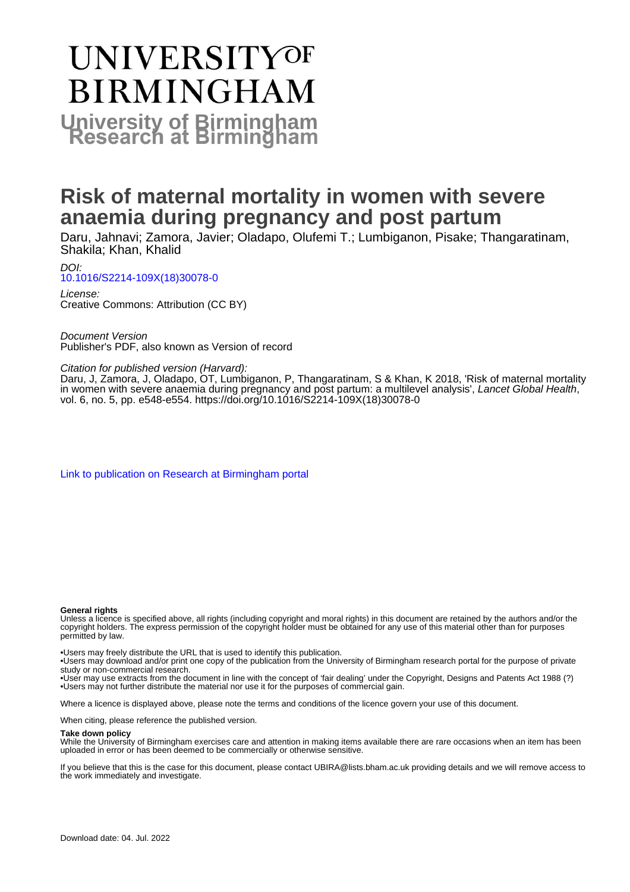# **UNIVERSITYOF BIRMINGHAM University of Birmingham**

# **Risk of maternal mortality in women with severe anaemia during pregnancy and post partum**

Daru, Jahnavi; Zamora, Javier; Oladapo, Olufemi T.; Lumbiganon, Pisake; Thangaratinam, Shakila; Khan, Khalid

DOI: [10.1016/S2214-109X\(18\)30078-0](https://doi.org/10.1016/S2214-109X(18)30078-0)

License: Creative Commons: Attribution (CC BY)

Document Version Publisher's PDF, also known as Version of record

# Citation for published version (Harvard):

Daru, J, Zamora, J, Oladapo, OT, Lumbiganon, P, Thangaratinam, S & Khan, K 2018, 'Risk of maternal mortality in women with severe anaemia during pregnancy and post partum: a multilevel analysis', Lancet Global Health, vol. 6, no. 5, pp. e548-e554. [https://doi.org/10.1016/S2214-109X\(18\)30078-0](https://doi.org/10.1016/S2214-109X(18)30078-0)

[Link to publication on Research at Birmingham portal](https://birmingham.elsevierpure.com/en/publications/fa944b76-ad67-4a6b-a0be-5b379d6dacba)

## **General rights**

Unless a licence is specified above, all rights (including copyright and moral rights) in this document are retained by the authors and/or the copyright holders. The express permission of the copyright holder must be obtained for any use of this material other than for purposes permitted by law.

• Users may freely distribute the URL that is used to identify this publication.

• Users may download and/or print one copy of the publication from the University of Birmingham research portal for the purpose of private study or non-commercial research.

• User may use extracts from the document in line with the concept of 'fair dealing' under the Copyright, Designs and Patents Act 1988 (?) • Users may not further distribute the material nor use it for the purposes of commercial gain.

Where a licence is displayed above, please note the terms and conditions of the licence govern your use of this document.

When citing, please reference the published version.

## **Take down policy**

While the University of Birmingham exercises care and attention in making items available there are rare occasions when an item has been uploaded in error or has been deemed to be commercially or otherwise sensitive.

If you believe that this is the case for this document, please contact UBIRA@lists.bham.ac.uk providing details and we will remove access to the work immediately and investigate.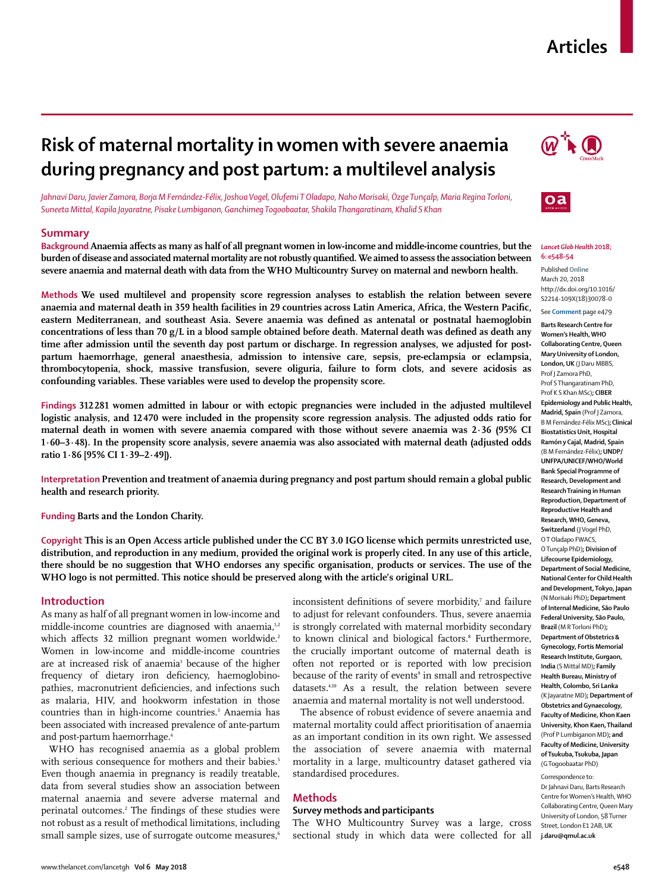# **Articles**

# **Risk of maternal mortality in women with severe anaemia during pregnancy and post partum: a multilevel analysis**



# **Summary**

**Background Anaemia affects as many as half of all pregnant women in low-income and middle-income countries, but the burden of disease and associated maternal mortality are not robustly quantified. We aimed to assess the association between severe anaemia and maternal death with data from the WHO Multicountry Survey on maternal and newborn health.**

**Methods We used multilevel and propensity score regression analyses to establish the relation between severe anaemia and maternal death in 359 health facilities in 29 countries across Latin America, Africa, the Western Pacific, eastern Mediterranean, and southeast Asia. Severe anaemia was defined as antenatal or postnatal haemoglobin concentrations of less than 70 g/L in a blood sample obtained before death. Maternal death was defined as death any time after admission until the seventh day post partum or discharge. In regression analyses, we adjusted for postpartum haemorrhage, general anaesthesia, admission to intensive care, sepsis, pre-eclampsia or eclampsia, thrombocytopenia, shock, massive transfusion, severe oliguria, failure to form clots, and severe acidosis as confounding variables. These variables were used to develop the propensity score.**

**Findings 312281 women admitted in labour or with ectopic pregnancies were included in the adjusted multilevel logistic analysis, and 12470 were included in the propensity score regression analysis. The adjusted odds ratio for maternal death in women with severe anaemia compared with those without severe anaemia was 2∙36 (95% CI 1∙60–3∙48). In the propensity score analysis, severe anaemia was also associated with maternal death (adjusted odds ratio 1∙86 [95% CI 1∙39–2∙49]).**

**Interpretation Prevention and treatment of anaemia during pregnancy and post partum should remain a global public health and research priority.**

**Funding Barts and the London Charity.**

**Copyright This is an Open Access article published under the CC BY 3.0 IGO license which permits unrestricted use, distribution, and reproduction in any medium, provided the original work is properly cited. In any use of this article, there should be no suggestion that WHO endorses any specific organisation, products or services. The use of the WHO logo is not permitted. This notice should be preserved along with the article's original URL.**

### **Introduction**

As many as half of all pregnant women in low-income and middle-income countries are diagnosed with anaemia,<sup>1,2</sup> which affects 32 million pregnant women worldwide.<sup>2</sup> Women in low-income and middle-income countries are at increased risk of anaemia<sup>1</sup> because of the higher frequency of dietary iron deficiency, haemoglobinopathies, macronutrient deficiencies, and infections such as malaria, HIV, and hookworm infestation in those countries than in high-income countries.<sup>3</sup> Anaemia has been associated with increased prevalence of ante-partum and post-partum haemorrhage.<sup>4</sup>

WHO has recognised anaemia as a global problem with serious consequence for mothers and their babies.<sup>5</sup> Even though anaemia in pregnancy is readily treatable, data from several studies show an association between maternal anaemia and severe adverse maternal and perinatal outcomes.2 The findings of these studies were not robust as a result of methodical limitations, including small sample sizes, use of surrogate outcome measures,<sup>6</sup>

inconsistent definitions of severe morbidity, $7$  and failure to adjust for relevant confounders. Thus, severe anaemia is strongly correlated with maternal morbidity secondary to known clinical and biological factors.<sup>8</sup> Furthermore, the crucially important outcome of maternal death is often not reported or is reported with low precision because of the rarity of events<sup>9</sup> in small and retrospective datasets.4,10 As a result, the relation between severe anaemia and maternal mortality is not well understood.

The absence of robust evidence of severe anaemia and maternal mortality could affect prioritisation of anaemia as an important condition in its own right. We assessed the association of severe anaemia with maternal mortality in a large, multicountry dataset gathered via standardised procedures.

# **Methods**

#### **Survey methods and participants**

sectional study in which data were collected for all j.daru@qmul.ac.uk The WHO Multicountry Survey was a large, cross





#### *Lancet Glob Health* **2018; 6: e548–54**

Published **Online** March 20, 2018 http://dx.doi.org/10.1016/ S2214-109X(18)30078-0 See **Comment** page e479

**Barts Research Centre for Women's Health, WHO Collaborating Centre, Queen Mary University of London, London, UK** (J Daru MBBS, Prof J Zamora PhD, Prof S Thangaratinam PhD, Prof K S Khan MSc)**; CIBER Epidemiology and Public Health, Madrid, Spain** (Prof J Zamora, B M Fernández-Félix MSc)**; Clinical Biostatistics Unit, Hospital Ramón y Cajal, Madrid, Spain**  (B M Fernández-Félix)**; UNDP/ UNFPA/UNICEF/WHO/World Bank Special Programme of Research, Development and Research Training in Human Reproduction, Department of Reproductive Health and Research, WHO, Geneva, Switzerland** (J Vogel PhD, OT Oladapo FWACS, Ö Tunçalp PhD)**; Division of Lifecourse Epidemiology, Department of Social Medicine, National Center for Child Health and Development, Tokyo, Japan**  (N Morisaki PhD)**; Department of Internal Medicine, São Paulo Federal University, São Paulo, Brazil** (M R Torloni PhD)**; Department of Obstetrics & Gynecology, Fortis Memorial Research Institute, Gurgaon, India** (S Mittal MD)**; Family Health Bureau, Ministry of Health, Colombo, Sri Lanka**  (K Jayaratne MD)**; Department of Obstetrics and Gynaecology, Faculty of Medicine, Khon Kaen University, Khon Kaen,Thailand**  (Prof P Lumbiganon MD)**; and Faculty of Medicine, University of Tsukuba, Tsukuba, Japan**  (G Togoobaatar PhD)

Correspondence to: Dr Jahnavi Daru, Barts Research Centre for Women's Health, WHO Collaborating Centre, Queen Mary University of London, 58 Turner Street, London E1 2AB, UK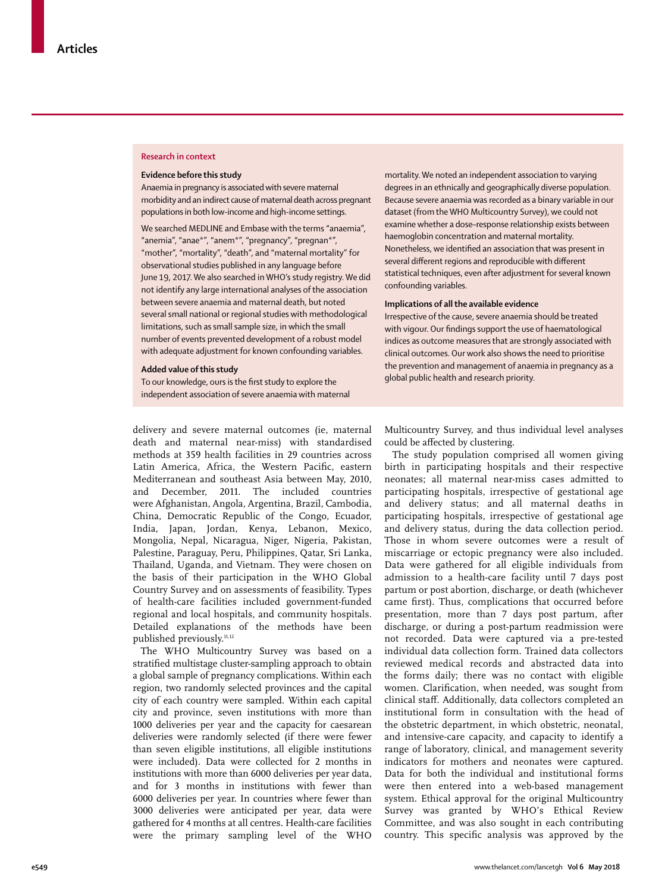#### **Research in context**

#### **Evidence before this study**

Anaemia in pregnancy is associated with severe maternal morbidity and an indirect cause of maternal death across pregnant populations in both low-income and high-income settings.

We searched MEDLINE and Embase with the terms "anaemia", "anemia", "anae\*", "anem\*", "pregnancy", "pregnan\*", "mother", "mortality", "death", and "maternal mortality" for observational studies published in any language before June 19, 2017. We also searched in WHO's study registry. We did not identify any large international analyses of the association between severe anaemia and maternal death, but noted several small national or regional studies with methodological limitations, such as small sample size, in which the small number of events prevented development of a robust model with adequate adjustment for known confounding variables.

#### **Added value of this study**

To our knowledge, ours is the first study to explore the independent association of severe anaemia with maternal

delivery and severe maternal outcomes (ie, maternal death and maternal near-miss) with standardised methods at 359 health facilities in 29 countries across Latin America, Africa, the Western Pacific, eastern Mediterranean and southeast Asia between May, 2010, and December, 2011. The included countries were Afghanistan, Angola, Argentina, Brazil, Cambodia, China, Democratic Republic of the Congo, Ecuador, India, Japan, Jordan, Kenya, Lebanon, Mexico, Mongolia, Nepal, Nicaragua, Niger, Nigeria, Pakistan, Palestine, Paraguay, Peru, Philippines, Qatar, Sri Lanka, Thailand, Uganda, and Vietnam. They were chosen on the basis of their participation in the WHO Global Country Survey and on assessments of feasibility. Types of health-care facilities included government-funded regional and local hospitals, and community hospitals. Detailed explanations of the methods have been published previously.<sup>11,12</sup>

The WHO Multicountry Survey was based on a stratified multistage cluster-sampling approach to obtain a global sample of pregnancy complications. Within each region, two randomly selected provinces and the capital city of each country were sampled. Within each capital city and province, seven institutions with more than 1000 deliveries per year and the capacity for caesarean deliveries were randomly selected (if there were fewer than seven eligible institutions, all eligible institutions were included). Data were collected for 2 months in institutions with more than 6000 deliveries per year data, and for 3 months in institutions with fewer than 6000 deliveries per year. In countries where fewer than 3000 deliveries were anticipated per year, data were gathered for 4 months at all centres. Health-care facilities were the primary sampling level of the WHO mortality. We noted an independent association to varying degrees in an ethnically and geographically diverse population. Because severe anaemia was recorded as a binary variable in our dataset (from the WHO Multicountry Survey), we could not examine whether a dose–response relationship exists between haemoglobin concentration and maternal mortality. Nonetheless, we identified an association that was present in several different regions and reproducible with different statistical techniques, even after adjustment for several known confounding variables.

# **Implications of all the available evidence**

Irrespective of the cause, severe anaemia should be treated with vigour. Our findings support the use of haematological indices as outcome measures that are strongly associated with clinical outcomes. Our work also shows the need to prioritise the prevention and management of anaemia in pregnancy as a global public health and research priority.

Multicountry Survey, and thus individual level analyses could be affected by clustering.

The study population comprised all women giving birth in participating hospitals and their respective neonates; all maternal near-miss cases admitted to participating hospitals, irrespective of gestational age and delivery status; and all maternal deaths in participating hospitals, irrespective of gestational age and delivery status, during the data collection period. Those in whom severe outcomes were a result of miscarriage or ectopic pregnancy were also included. Data were gathered for all eligible individuals from admission to a health-care facility until 7 days post partum or post abortion, discharge, or death (whichever came first). Thus, complications that occurred before presentation, more than 7 days post partum, after discharge, or during a post-partum readmission were not recorded. Data were captured via a pre-tested individual data collection form. Trained data collectors reviewed medical records and abstracted data into the forms daily; there was no contact with eligible women. Clarification, when needed, was sought from clinical staff. Additionally, data collectors completed an institutional form in consultation with the head of the obstetric department, in which obstetric, neonatal, and intensive-care capacity, and capacity to identify a range of laboratory, clinical, and management severity indicators for mothers and neonates were captured. Data for both the individual and institutional forms were then entered into a web-based management system. Ethical approval for the original Multicountry Survey was granted by WHO's Ethical Review Committee, and was also sought in each contributing country. This specific analysis was approved by the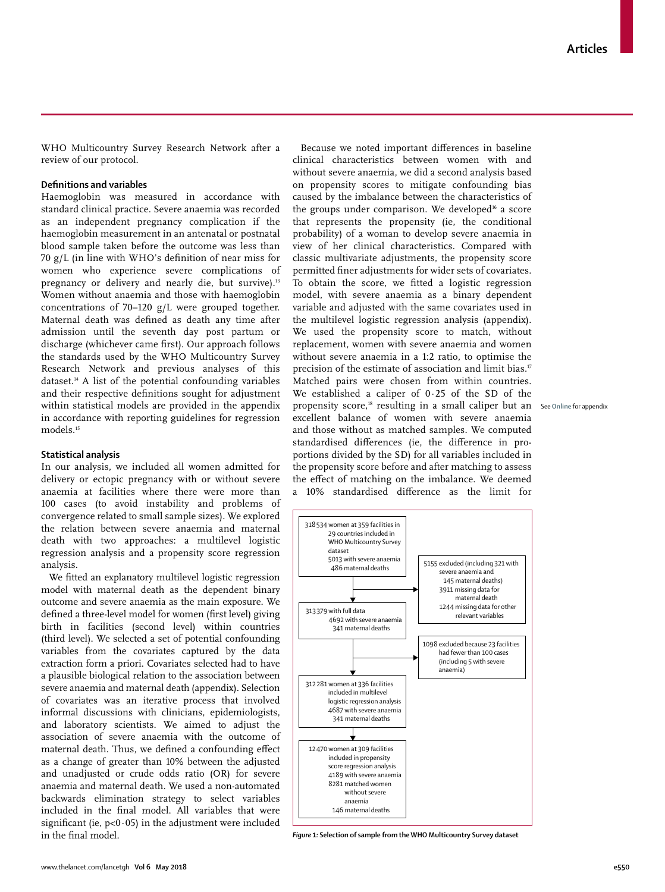WHO Multicountry Survey Research Network after a review of our protocol.

# **Definitions and variables**

Haemoglobin was measured in accordance with standard clinical practice. Severe anaemia was recorded as an independent pregnancy complication if the haemoglobin measurement in an antenatal or postnatal blood sample taken before the outcome was less than 70 g/L (in line with WHO's definition of near miss for women who experience severe complications of pregnancy or delivery and nearly die, but survive).<sup>13</sup> Women without anaemia and those with haemoglobin concentrations of 70–120 g/L were grouped together. Maternal death was defined as death any time after admission until the seventh day post partum or discharge (whichever came first). Our approach follows the standards used by the WHO Multicountry Survey Research Network and previous analyses of this dataset. $^{14}$  A list of the potential confounding variables and their respective definitions sought for adjustment within statistical models are provided in the appendix in accordance with reporting guidelines for regression models.15

#### **Statistical analysis**

In our analysis, we included all women admitted for delivery or ectopic pregnancy with or without severe anaemia at facilities where there were more than 100 cases (to avoid instability and problems of convergence related to small sample sizes). We explored the relation between severe anaemia and maternal death with two approaches: a multilevel logistic regression analysis and a propensity score regression analysis.

We fitted an explanatory multilevel logistic regression model with maternal death as the dependent binary outcome and severe anaemia as the main exposure. We defined a three-level model for women (first level) giving birth in facilities (second level) within countries (third level). We selected a set of potential confounding variables from the covariates captured by the data extraction form a priori. Covariates selected had to have a plausible biological relation to the association between severe anaemia and maternal death (appendix). Selection of covariates was an iterative process that involved informal discussions with clinicians, epidemiologists, and laboratory scientists. We aimed to adjust the association of severe anaemia with the outcome of maternal death. Thus, we defined a confounding effect as a change of greater than 10% between the adjusted and unadjusted or crude odds ratio (OR) for severe anaemia and maternal death. We used a non-automated backwards elimination strategy to select variables included in the final model. All variables that were significant (ie, p<0∙05) in the adjustment were included in the final model.

Because we noted important differences in baseline clinical characteristics between women with and without severe anaemia, we did a second analysis based on propensity scores to mitigate confounding bias caused by the imbalance between the characteristics of the groups under comparison. We developed<sup>16</sup> a score that represents the propensity (ie, the conditional probability) of a woman to develop severe anaemia in view of her clinical characteristics. Compared with classic multivariate adjustments, the propensity score permitted finer adjustments for wider sets of covariates. To obtain the score, we fitted a logistic regression model, with severe anaemia as a binary dependent variable and adjusted with the same covariates used in the multilevel logistic regression analysis (appendix). We used the propensity score to match, without replacement, women with severe anaemia and women without severe anaemia in a 1:2 ratio, to optimise the precision of the estimate of association and limit bias.<sup>17</sup> Matched pairs were chosen from within countries. We established a caliper of 0·25 of the SD of the propensity score,18 resulting in a small caliper but an See **Online** for appendixexcellent balance of women with severe anaemia and those without as matched samples. We computed standardised differences (ie, the difference in proportions divided by the SD) for all variables included in the propensity score before and after matching to assess the effect of matching on the imbalance. We deemed a 10% standardised difference as the limit for



*Figure 1:* **Selection of sample from the WHO Multicountry Survey dataset**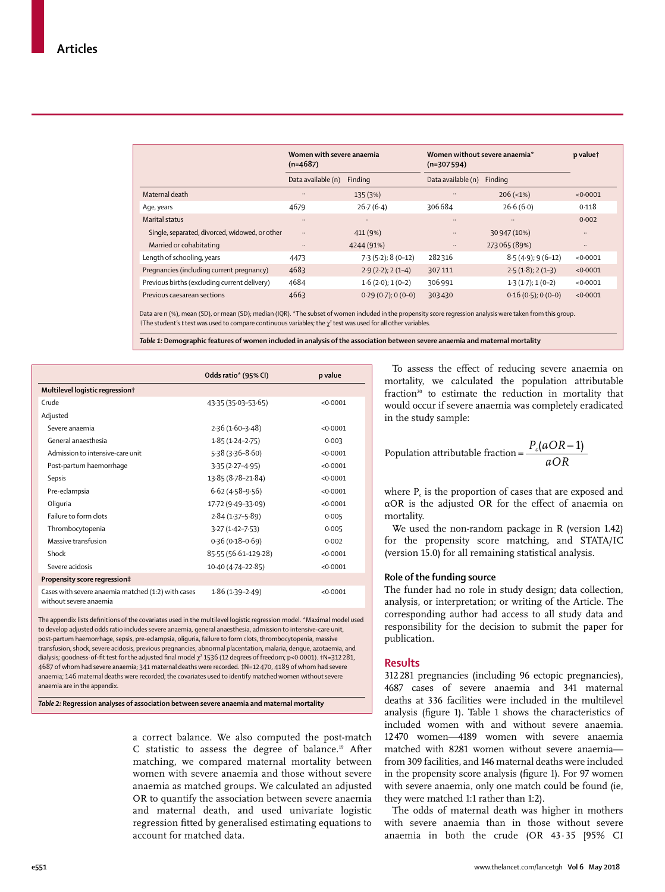|                                                | Women with severe anaemia<br>$(n=4687)$ |                       | Women without severe anaemia*<br>$(n=307594)$ | p valuet                |          |
|------------------------------------------------|-----------------------------------------|-----------------------|-----------------------------------------------|-------------------------|----------|
|                                                | Data available (n)                      | Finding               | Data available (n)                            | Finding                 |          |
| Maternal death                                 | $\cdot$ .                               | 135 (3%)              | $\cdot$                                       | $206 (-1%)$             | < 0.0001 |
| Age, years                                     | 4679                                    | 26.7(6.4)             | 306684                                        | 26.6(6.0)               | 0.118    |
| Marital status                                 | $\cdot$ .                               |                       | $\cdot$                                       |                         | 0.002    |
| Single, separated, divorced, widowed, or other | $\cdot$ .                               | 411 (9%)              | $\ddotsc$                                     | 30 947 (10%)            | $\cdot$  |
| Married or cohabitating                        | $\cdots$                                | 4244 (91%)            | $\ldots$                                      | 273065 (89%)            |          |
| Length of schooling, years                     | 4473                                    | $7.3(5.2)$ ; 8 (0-12) | 282316                                        | $8.5(4.9)$ ; 9 (6-12)   | < 0.0001 |
| Pregnancies (including current pregnancy)      | 4683                                    | $2.9(2.2)$ ; $2(1-4)$ | 307111                                        | $2.5(1.8)$ ; 2(1-3)     | < 0.0001 |
| Previous births (excluding current delivery)   | 4684                                    | $1.6(2.0); 1(0-2)$    | 306 991                                       | $1.3(1.7); 1(0-2)$      | < 0.0001 |
| Previous caesarean sections                    | 4663                                    | $0.29(0.7);0(0-0)$    | 303430                                        | $0.16(0.5)$ ; 0 $(0-0)$ | < 0.0001 |

Data are n (%), mean (SD), or mean (SD); median (IQR). \*The subset of women included in the propensity score regression analysis were taken from this group †The student's *t* test was used to compare continuous variables; the χ² test was used for all other variables.

*Table 1:* **Demographic features of women included in analysis of the association between severe anaemia and maternal mortality**

|                                                                              | Odds ratio* (95% CI) | p value |  |  |  |
|------------------------------------------------------------------------------|----------------------|---------|--|--|--|
| Multilevel logistic regression†                                              |                      |         |  |  |  |
| Crude                                                                        | 43.35 (35.03-53.65)  | <0.0001 |  |  |  |
| Adjusted                                                                     |                      |         |  |  |  |
| Severe anaemia                                                               | $2.36(1.60-3.48)$    | <0.0001 |  |  |  |
| General anaesthesia                                                          | $1.85(1.24 - 2.75)$  | 0.003   |  |  |  |
| Admission to intensive-care unit                                             | $5.38(3.36 - 8.60)$  | <0.0001 |  |  |  |
| Post-partum haemorrhage                                                      | $3.35(2.27 - 4.95)$  | <0.0001 |  |  |  |
| Sepsis                                                                       | 13.85 (8.78-21.84)   | <0.0001 |  |  |  |
| Pre-eclampsia                                                                | $6.62(4.58-9.56)$    | <0.0001 |  |  |  |
| Oliquria                                                                     | 17.72 (9.49-33.09)   | <0.0001 |  |  |  |
| Failure to form clots                                                        | $2.84(1.37 - 5.89)$  | 0.005   |  |  |  |
| Thrombocytopenia                                                             | $3.27(1.42 - 7.53)$  | 0.005   |  |  |  |
| Massive transfusion                                                          | $0.36(0.18 - 0.69)$  | 0.002   |  |  |  |
| Shock                                                                        | 85.55 (56.61-129.28) | <0.0001 |  |  |  |
| Severe acidosis                                                              | 10.40 (4.74-22.85)   | <0.0001 |  |  |  |
| Propensity score regression‡                                                 |                      |         |  |  |  |
| Cases with severe anaemia matched (1:2) with cases<br>without severe anaemia | $1.86(1.39-2.49)$    | <0.0001 |  |  |  |

The appendix lists definitions of the covariates used in the multilevel logistic regression model. \*Maximal model used to develop adjusted odds ratio includes severe anaemia, general anaesthesia, admission to intensive-care unit, post-partum haemorrhage, sepsis, pre-eclampsia, oliguria, failure to form clots, thrombocytopenia, massive transfusion, shock, severe acidosis, previous pregnancies, abnormal placentation, malaria, dengue, azotaemia, and dialysis; goodness-of-fit test for the adjusted final model χ<sup>2</sup> 1536 (12 degrees of freedom; p<0.0001). †N=312 281, 4687 of whom had severe anaemia; 341 maternal deaths were recorded. ‡N=12470, 4189 of whom had severe anaemia; 146 maternal deaths were recorded; the covariates used to identify matched women without severe anaemia are in the appendix.

*Table 2:* **Regression analyses of association between severe anaemia and maternal mortality**

a correct balance. We also computed the post-match C statistic to assess the degree of balance.19 After matching, we compared maternal mortality between women with severe anaemia and those without severe anaemia as matched groups. We calculated an adjusted OR to quantify the association between severe anaemia and maternal death, and used univariate logistic regression fitted by generalised estimating equations to account for matched data.

To assess the effect of reducing severe anaemia on mortality, we calculated the population attributable fraction<sup>20</sup> to estimate the reduction in mortality that would occur if severe anaemia was completely eradicated in the study sample:

Population attributable fraction = 
$$
\frac{P_c(aOR-1)}{aOR}
$$

where  $P_c$  is the proportion of cases that are exposed and αOR is the adjusted OR for the effect of anaemia on mortality.

We used the non-random package in R (version 1.42) for the propensity score matching, and STATA/IC (version 15.0) for all remaining statistical analysis.

# **Role of the funding source**

The funder had no role in study design; data collection, analysis, or interpretation; or writing of the Article. The corresponding author had access to all study data and responsibility for the decision to submit the paper for publication.

# **Results**

312281 pregnancies (including 96 ectopic pregnancies), 4687 cases of severe anaemia and 341 maternal deaths at 336 facilities were included in the multilevel analysis (figure 1). Table 1 shows the characteristics of included women with and without severe anaemia. 12470 women—4189 women with severe anaemia matched with 8281 women without severe anaemia from 309 facilities, and 146 maternal deaths were included in the propensity score analysis (figure 1). For 97 women with severe anaemia, only one match could be found (ie, they were matched 1:1 rather than 1:2).

The odds of maternal death was higher in mothers with severe anaemia than in those without severe anaemia in both the crude (OR 43∙35 [95% CI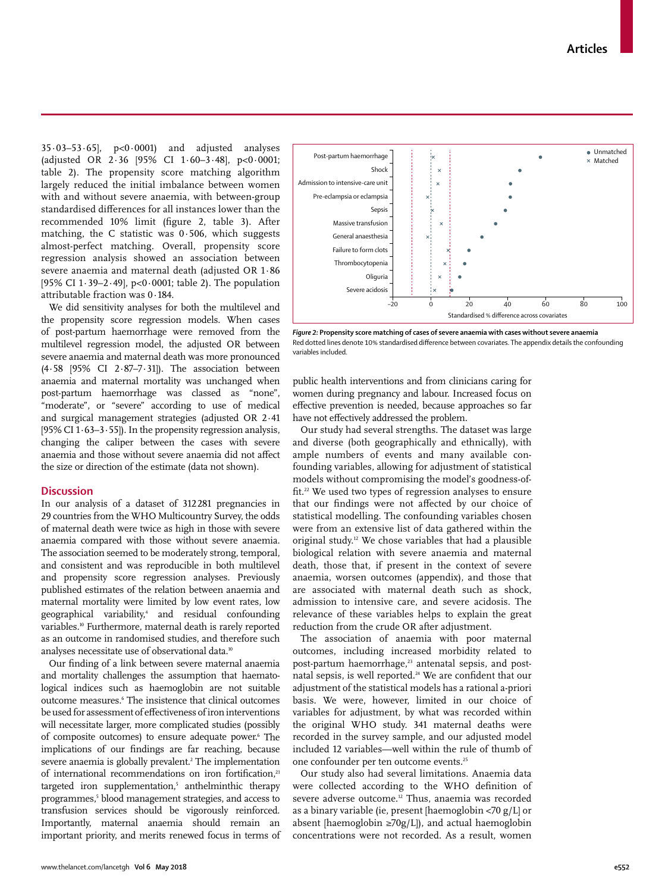35∙03–53∙65], p<0·0001) and adjusted analyses (adjusted OR 2∙36 [95% CI 1∙60–3∙48], p<0·0001; table 2). The propensity score matching algorithm largely reduced the initial imbalance between women with and without severe anaemia, with between-group standardised differences for all instances lower than the recommended 10% limit (figure 2, table 3). After matching, the C statistic was 0∙506, which suggests almost-perfect matching. Overall, propensity score regression analysis showed an association between severe anaemia and maternal death (adjusted OR 1∙86 [95% CI 1∙39–2∙49], p<0·0001; table 2). The population attributable fraction was 0∙184.

We did sensitivity analyses for both the multilevel and the propensity score regression models. When cases of post-partum haemorrhage were removed from the multilevel regression model, the adjusted OR between severe anaemia and maternal death was more pronounced (4∙58 [95% CI 2∙87–7∙31]). The association between anaemia and maternal mortality was unchanged when post-partum haemorrhage was classed as "none", "moderate", or "severe" according to use of medical and surgical management strategies (adjusted OR 2∙41 [95% CI 1∙63–3∙55]). In the propensity regression analysis, changing the caliper between the cases with severe anaemia and those without severe anaemia did not affect the size or direction of the estimate (data not shown).

# **Discussion**

In our analysis of a dataset of 312281 pregnancies in 29 countries from the WHO Multicountry Survey, the odds of maternal death were twice as high in those with severe anaemia compared with those without severe anaemia. The association seemed to be moderately strong, temporal, and consistent and was reproducible in both multilevel and propensity score regression analyses. Previously published estimates of the relation between anaemia and maternal mortality were limited by low event rates, low geographical variability,4 and residual confounding variables.<sup>10</sup> Furthermore, maternal death is rarely reported as an outcome in randomised studies, and therefore such analyses necessitate use of observational data.10

Our finding of a link between severe maternal anaemia and mortality challenges the assumption that haematological indices such as haemoglobin are not suitable outcome measures.<sup>6</sup> The insistence that clinical outcomes be used for assessment of effectiveness of iron interventions will necessitate larger, more complicated studies (possibly of composite outcomes) to ensure adequate power.<sup>6</sup> The implications of our findings are far reaching, because severe anaemia is globally prevalent.<sup>2</sup> The implementation of international recommendations on iron fortification,<sup>21</sup> targeted iron supplementation,<sup>5</sup> anthelminthic therapy programmes,<sup>5</sup> blood management strategies, and access to transfusion services should be vigorously reinforced. Importantly, maternal anaemia should remain an important priority, and merits renewed focus in terms of



*Figure 2:* **Propensity score matching of cases of severe anaemia with cases without severe anaemia** Red dotted lines denote 10% standardised difference between covariates. The appendix details the confounding variables included.

public health interventions and from clinicians caring for women during pregnancy and labour. Increased focus on effective prevention is needed, because approaches so far have not effectively addressed the problem.

Our study had several strengths. The dataset was large and diverse (both geographically and ethnically), with ample numbers of events and many available confounding variables, allowing for adjustment of statistical models without compromising the model's goodness-offit.22 We used two types of regression analyses to ensure that our findings were not affected by our choice of statistical modelling. The confounding variables chosen were from an extensive list of data gathered within the original study.12 We chose variables that had a plausible biological relation with severe anaemia and maternal death, those that, if present in the context of severe anaemia, worsen outcomes (appendix), and those that are associated with maternal death such as shock, admission to intensive care, and severe acidosis. The relevance of these variables helps to explain the great reduction from the crude OR after adjustment.

The association of anaemia with poor maternal outcomes, including increased morbidity related to post-partum haemorrhage,<sup>23</sup> antenatal sepsis, and postnatal sepsis, is well reported.<sup>24</sup> We are confident that our adjustment of the statistical models has a rational a-priori basis. We were, however, limited in our choice of variables for adjustment, by what was recorded within the original WHO study. 341 maternal deaths were recorded in the survey sample, and our adjusted model included 12 variables—well within the rule of thumb of one confounder per ten outcome events.25

Our study also had several limitations. Anaemia data were collected according to the WHO definition of severe adverse outcome.<sup>12</sup> Thus, anaemia was recorded as a binary variable (ie, present [haemoglobin <70 g/L] or absent [haemoglobin  $\geq 70g/L$ ]), and actual haemoglobin concentrations were not recorded. As a result, women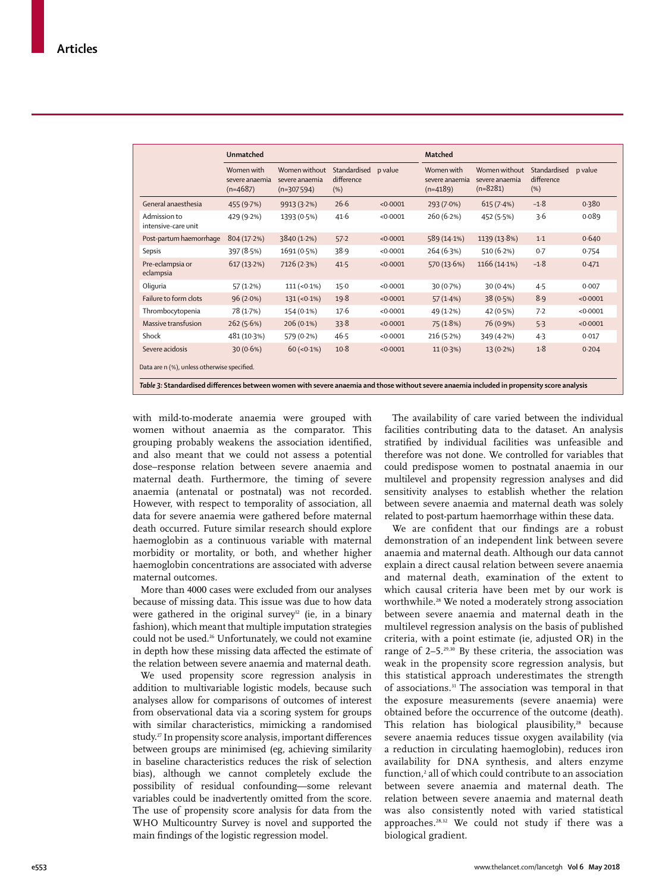|                                                                                                                                            | Unmatched                                  |                                                 |                                   |          | Matched                                    |                                               |                                   |          |  |
|--------------------------------------------------------------------------------------------------------------------------------------------|--------------------------------------------|-------------------------------------------------|-----------------------------------|----------|--------------------------------------------|-----------------------------------------------|-----------------------------------|----------|--|
|                                                                                                                                            | Women with<br>severe anaemia<br>$(n=4687)$ | Women without<br>severe anaemia<br>$(n=307594)$ | Standardised<br>difference<br>(%) | p value  | Women with<br>severe anaemia<br>$(n=4189)$ | Women without<br>severe anaemia<br>$(n=8281)$ | Standardised<br>difference<br>(%) | p value  |  |
| General anaesthesia                                                                                                                        | 455 (9.7%)                                 | 9913 (3.2%)                                     | 26.6                              | <0.0001  | 293 (7.0%)                                 | 615(7.4%)                                     | $-1.8$                            | 0.380    |  |
| Admission to<br>intensive-care unit                                                                                                        | 429 (9.2%)                                 | 1393 (0.5%)                                     | 41.6                              | < 0.0001 | 260 (6.2%)                                 | 452 (5.5%)                                    | 3.6                               | 0.089    |  |
| Post-partum haemorrhage                                                                                                                    | 804 (17.2%)                                | 3840 (1.2%)                                     | 57.2                              | < 0.0001 | 589 (14.1%)                                | 1139 (13.8%)                                  | $1-1$                             | 0.640    |  |
| Sepsis                                                                                                                                     | 397 (8.5%)                                 | 1691 (0.5%)                                     | 38.9                              | <0.0001  | 264 (6.3%)                                 | 510(6.2%)                                     | 0.7                               | 0.754    |  |
| Pre-eclampsia or<br>eclampsia                                                                                                              | 617(13.2%)                                 | 7126 (2.3%)                                     | 41.5                              | < 0.0001 | 570 (13.6%)                                | 1166 (14.1%)                                  | $-1.8$                            | 0.471    |  |
| Oliguria                                                                                                                                   | 57(1.2%)                                   | $111 (-0.1\%)$                                  | 15.0                              | <0.0001  | 30(0.7%)                                   | $30(0.4\%)$                                   | 4.5                               | 0.007    |  |
| Failure to form clots                                                                                                                      | 96(2.0%)                                   | $131 (-0.1\%)$                                  | 19.8                              | < 0.0001 | 57(1.4%)                                   | 38(0.5%)                                      | 8.9                               | < 0.0001 |  |
| Thrombocytopenia                                                                                                                           | 78 (1.7%)                                  | 154 (0.1%)                                      | $17-6$                            | <0.0001  | 49 (1.2%)                                  | 42 (0.5%)                                     | 7.2                               | <0.0001  |  |
| Massive transfusion                                                                                                                        | 262(5.6%)                                  | $206(0.1\%)$                                    | 33.8                              | < 0.0001 | 75(1.8%)                                   | 76 (0.9%)                                     | 5.3                               | < 0.0001 |  |
| Shock                                                                                                                                      | 481 (10.3%)                                | 579 (0.2%)                                      | 46.5                              | <0.0001  | 216(5.2%)                                  | 349 (4.2%)                                    | $4-3$                             | 0.017    |  |
| Severe acidosis                                                                                                                            | 30(0.6%)                                   | $60 (< 0.1\%)$                                  | $10-8$                            | < 0.0001 | 11(0.3%)                                   | $13(0.2\%)$                                   | 1.8                               | 0.204    |  |
| Data are n (%), unless otherwise specified.                                                                                                |                                            |                                                 |                                   |          |                                            |                                               |                                   |          |  |
| Table 3: Standardised differences between women with severe anaemia and those without severe anaemia included in propensity score analysis |                                            |                                                 |                                   |          |                                            |                                               |                                   |          |  |

with mild-to-moderate anaemia were grouped with women without anaemia as the comparator. This grouping probably weakens the association identified, and also meant that we could not assess a potential dose–response relation between severe anaemia and maternal death. Furthermore, the timing of severe anaemia (antenatal or postnatal) was not recorded. However, with respect to temporality of association, all data for severe anaemia were gathered before maternal death occurred. Future similar research should explore haemoglobin as a continuous variable with maternal morbidity or mortality, or both, and whether higher haemoglobin concentrations are associated with adverse maternal outcomes.

More than 4000 cases were excluded from our analyses because of missing data. This issue was due to how data were gathered in the original survey<sup>12</sup> (ie, in a binary fashion), which meant that multiple imputation strategies could not be used.<sup>26</sup> Unfortunately, we could not examine in depth how these missing data affected the estimate of the relation between severe anaemia and maternal death.

We used propensity score regression analysis in addition to multivariable logistic models, because such analyses allow for comparisons of outcomes of interest from observational data via a scoring system for groups with similar characteristics, mimicking a randomised study.<sup>27</sup> In propensity score analysis, important differences between groups are minimised (eg, achieving similarity in baseline characteristics reduces the risk of selection bias), although we cannot completely exclude the possibility of residual confounding—some relevant variables could be inadvertently omitted from the score. The use of propensity score analysis for data from the WHO Multicountry Survey is novel and supported the main findings of the logistic regression model.

The availability of care varied between the individual facilities contributing data to the dataset. An analysis stratified by individual facilities was unfeasible and therefore was not done. We controlled for variables that could predispose women to postnatal anaemia in our multilevel and propensity regression analyses and did sensitivity analyses to establish whether the relation between severe anaemia and maternal death was solely related to post-partum haemorrhage within these data.

We are confident that our findings are a robust demonstration of an independent link between severe anaemia and maternal death. Although our data cannot explain a direct causal relation between severe anaemia and maternal death, examination of the extent to which causal criteria have been met by our work is worthwhile.<sup>28</sup> We noted a moderately strong association between severe anaemia and maternal death in the multilevel regression analysis on the basis of published criteria, with a point estimate (ie, adjusted OR) in the range of  $2-5.^{29,30}$  By these criteria, the association was weak in the propensity score regression analysis, but this statistical approach underestimates the strength of associations.31 The association was temporal in that the exposure measurements (severe anaemia) were obtained before the occurrence of the outcome (death). This relation has biological plausibility,<sup>28</sup> because severe anaemia reduces tissue oxygen availability (via a reduction in circulating haemoglobin), reduces iron availability for DNA synthesis, and alters enzyme function,<sup>2</sup> all of which could contribute to an association between severe anaemia and maternal death. The relation between severe anaemia and maternal death was also consistently noted with varied statistical approaches.28,32 We could not study if there was a biological gradient.